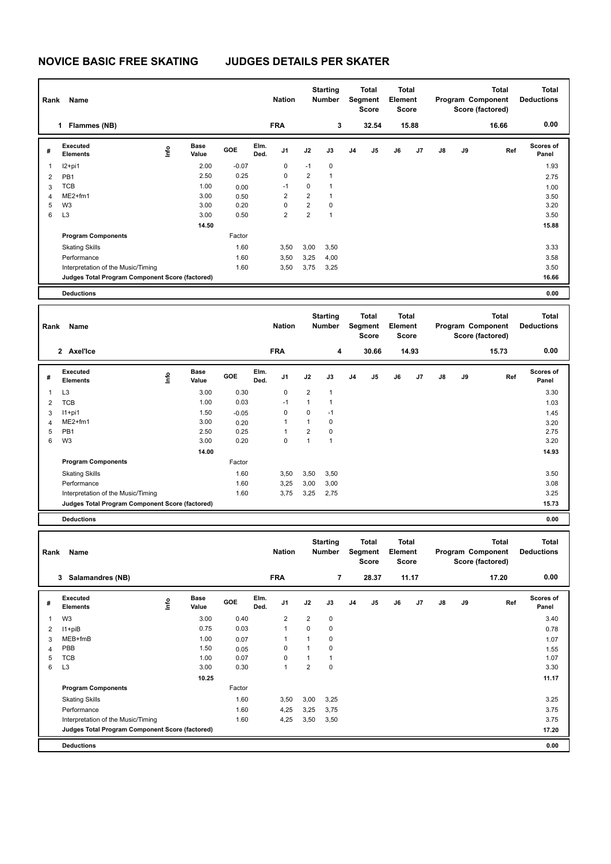## **NOVICE BASIC FREE SKATING JUDGES DETAILS PER SKATER**

| Rank           | Name                                            |                                  |                      |              |              | <b>Starting</b><br><b>Nation</b><br>Number |                                | <b>Total</b><br>Segment<br><b>Score</b> |                | Total<br>Element<br>Score        |                                  |       |    | <b>Total</b><br>Program Component<br>Score (factored) | <b>Total</b><br><b>Deductions</b>              |                                   |  |
|----------------|-------------------------------------------------|----------------------------------|----------------------|--------------|--------------|--------------------------------------------|--------------------------------|-----------------------------------------|----------------|----------------------------------|----------------------------------|-------|----|-------------------------------------------------------|------------------------------------------------|-----------------------------------|--|
|                | 1 Flammes (NB)                                  |                                  |                      |              |              | <b>FRA</b>                                 |                                | 3                                       |                | 32.54                            | 15.88                            |       |    |                                                       | 16.66                                          | 0.00                              |  |
| #              | Executed<br><b>Elements</b>                     | lnfo                             | <b>Base</b><br>Value | GOE          | Elm.<br>Ded. | J1                                         | J2                             | J3                                      | J <sub>4</sub> | J5                               | J6                               | J7    | J8 | J9                                                    | Ref                                            | Scores of<br>Panel                |  |
| 1              | $12+pi1$                                        |                                  | 2.00                 | $-0.07$      |              | 0                                          | -1                             | 0                                       |                |                                  |                                  |       |    |                                                       |                                                | 1.93                              |  |
| $\overline{2}$ | PB1                                             |                                  | 2.50                 | 0.25         |              | $\mathbf 0$                                | $\overline{\mathbf{c}}$        | 1                                       |                |                                  |                                  |       |    |                                                       |                                                | 2.75                              |  |
| 3              | <b>TCB</b>                                      |                                  | 1.00                 | 0.00         |              | $-1$                                       | 0                              | 1                                       |                |                                  |                                  |       |    |                                                       |                                                | 1.00                              |  |
| 4              | ME2+fm1                                         |                                  | 3.00                 | 0.50         |              | 2                                          | $\overline{2}$                 | 1                                       |                |                                  |                                  |       |    |                                                       |                                                | 3.50                              |  |
| 5<br>6         | W <sub>3</sub><br>L <sub>3</sub>                |                                  | 3.00<br>3.00         | 0.20<br>0.50 |              | 0<br>2                                     | $\mathbf 2$<br>$\overline{2}$  | 0<br>$\mathbf{1}$                       |                |                                  |                                  |       |    |                                                       |                                                | 3.20<br>3.50                      |  |
|                |                                                 |                                  | 14.50                |              |              |                                            |                                |                                         |                |                                  |                                  |       |    |                                                       |                                                | 15.88                             |  |
|                | <b>Program Components</b>                       |                                  |                      | Factor       |              |                                            |                                |                                         |                |                                  |                                  |       |    |                                                       |                                                |                                   |  |
|                | <b>Skating Skills</b>                           |                                  |                      | 1.60         |              | 3,50                                       | 3,00                           | 3,50                                    |                |                                  |                                  |       |    |                                                       |                                                | 3.33                              |  |
|                | Performance                                     |                                  |                      | 1.60         |              | 3,50                                       | 3,25                           | 4,00                                    |                |                                  |                                  |       |    |                                                       |                                                | 3.58                              |  |
|                | Interpretation of the Music/Timing              |                                  |                      | 1.60         |              | 3,50                                       | 3,75                           | 3,25                                    |                |                                  |                                  |       |    |                                                       |                                                | 3.50                              |  |
|                | Judges Total Program Component Score (factored) |                                  |                      |              |              |                                            |                                |                                         |                |                                  |                                  |       |    |                                                       |                                                | 16.66                             |  |
|                | <b>Deductions</b>                               |                                  |                      |              |              |                                            |                                |                                         |                |                                  |                                  |       |    |                                                       |                                                | 0.00                              |  |
|                |                                                 |                                  |                      |              |              |                                            |                                |                                         |                |                                  |                                  |       |    |                                                       |                                                |                                   |  |
| Rank           | Name                                            |                                  |                      |              |              | <b>Nation</b>                              |                                | <b>Starting</b><br><b>Number</b>        |                | Total<br>Segment                 | <b>Total</b><br>Element          |       |    |                                                       | <b>Total</b><br>Program Component              | <b>Total</b><br><b>Deductions</b> |  |
|                |                                                 |                                  |                      |              |              |                                            |                                |                                         |                | <b>Score</b>                     | Score                            |       |    |                                                       | Score (factored)                               |                                   |  |
|                | 2 Axel'Ice                                      |                                  |                      |              |              | <b>FRA</b>                                 |                                | 4                                       |                | 30.66                            |                                  | 14.93 |    |                                                       | 15.73                                          | 0.00                              |  |
| #              | <b>Executed</b><br><b>Elements</b>              | $\mathop{\mathsf{Int}}\nolimits$ | Base<br>Value        | GOE          | Elm.<br>Ded. | J1                                         | J2                             | J3                                      | J <sub>4</sub> | J5                               | J6                               | J7    | J8 | J9                                                    | Ref                                            | <b>Scores of</b><br>Panel         |  |
| 1              | L <sub>3</sub>                                  |                                  | 3.00                 | 0.30         |              | $\mathbf 0$                                | $\overline{\mathbf{c}}$        | 1                                       |                |                                  |                                  |       |    |                                                       |                                                | 3.30                              |  |
| $\overline{2}$ | <b>TCB</b>                                      |                                  | 1.00                 | 0.03         |              | $-1$                                       | 1                              | 1                                       |                |                                  |                                  |       |    |                                                       |                                                | 1.03                              |  |
| 3              | $11+pi1$                                        |                                  | 1.50                 | $-0.05$      |              | $\mathbf 0$                                | 0                              | $-1$                                    |                |                                  |                                  |       |    |                                                       |                                                | 1.45                              |  |
| 4              | ME2+fm1                                         |                                  | 3.00                 | 0.20         |              | 1                                          | $\mathbf{1}$                   | $\mathbf 0$                             |                |                                  |                                  |       |    |                                                       |                                                | 3.20                              |  |
| 5<br>6         | PB1                                             |                                  | 2.50                 | 0.25         |              | 1<br>0                                     | $\overline{2}$<br>$\mathbf{1}$ | 0<br>$\mathbf{1}$                       |                |                                  |                                  |       |    |                                                       |                                                | 2.75                              |  |
|                | W3                                              |                                  | 3.00                 | 0.20         |              |                                            |                                |                                         |                |                                  |                                  |       |    |                                                       |                                                | 3.20                              |  |
|                | <b>Program Components</b>                       |                                  | 14.00                | Factor       |              |                                            |                                |                                         |                |                                  |                                  |       |    |                                                       |                                                | 14.93                             |  |
|                |                                                 |                                  |                      | 1.60         |              |                                            |                                |                                         |                |                                  |                                  |       |    |                                                       |                                                | 3.50                              |  |
|                | <b>Skating Skills</b><br>Performance            |                                  |                      | 1.60         |              | 3,50<br>3,25                               | 3,50<br>3,00                   | 3,50<br>3,00                            |                |                                  |                                  |       |    |                                                       |                                                | 3.08                              |  |
|                | Interpretation of the Music/Timing              |                                  |                      | 1.60         |              | 3,75                                       | 3,25                           | 2,75                                    |                |                                  |                                  |       |    |                                                       |                                                | 3.25                              |  |
|                | Judges Total Program Component Score (factored) |                                  |                      |              |              |                                            |                                |                                         |                |                                  |                                  |       |    |                                                       |                                                | 15.73                             |  |
|                | <b>Deductions</b>                               |                                  |                      |              |              |                                            |                                |                                         |                |                                  |                                  |       |    |                                                       |                                                | 0.00                              |  |
|                |                                                 |                                  |                      |              |              |                                            |                                |                                         |                |                                  |                                  |       |    |                                                       |                                                |                                   |  |
|                | Rank Name                                       |                                  |                      |              |              | <b>Nation</b>                              |                                | Starting<br>Number                      |                | Total<br>Segment<br><b>Score</b> | Total<br>Element<br><b>Score</b> |       |    |                                                       | Total<br>Program Component<br>Score (factored) | Total<br><b>Deductions</b>        |  |
|                | 3 Salamandres (NB)                              |                                  |                      |              |              | <b>FRA</b>                                 |                                | $\overline{\mathbf{r}}$                 |                | 28.37                            |                                  | 11.17 |    |                                                       | 17.20                                          | 0.00                              |  |
|                | Executed                                        |                                  | <b>Base</b>          | GOE          | Elm.         |                                            |                                |                                         |                |                                  |                                  |       |    |                                                       |                                                | Scores of                         |  |
| #              | <b>Elements</b>                                 | $\mathop{\mathsf{Info}}$         | Value                |              | Ded.         | J1                                         | J2                             | J3                                      | J4             | J5                               | J6                               | J7    | J8 | J9                                                    | Ref                                            | Panel                             |  |
| 1              | W <sub>3</sub>                                  |                                  | 3.00                 | 0.40         |              | 2                                          | $\overline{\mathbf{c}}$        | $\pmb{0}$                               |                |                                  |                                  |       |    |                                                       |                                                | 3.40                              |  |
| 2              | $11 + piB$                                      |                                  | 0.75                 | 0.03         |              | 1                                          | 0                              | 0                                       |                |                                  |                                  |       |    |                                                       |                                                | 0.78                              |  |
| $\mathbf{3}$   | MEB+fmB                                         |                                  | 1.00                 | 0.07         |              | 1                                          | 1                              | 0                                       |                |                                  |                                  |       |    |                                                       |                                                | 1.07                              |  |
| 4              | PBB<br><b>TCB</b>                               |                                  | 1.50                 | 0.05         |              | 0<br>0                                     | $\mathbf{1}$<br>$\mathbf{1}$   | 0<br>$\mathbf{1}$                       |                |                                  |                                  |       |    |                                                       |                                                | 1.55                              |  |
| 5<br>6         | L <sub>3</sub>                                  |                                  | 1.00<br>3.00         | 0.07<br>0.30 |              | $\mathbf{1}$                               | $\overline{\mathbf{c}}$        | $\pmb{0}$                               |                |                                  |                                  |       |    |                                                       |                                                | 1.07<br>3.30                      |  |
|                |                                                 |                                  | 10.25                |              |              |                                            |                                |                                         |                |                                  |                                  |       |    |                                                       |                                                | 11.17                             |  |
|                | <b>Program Components</b>                       |                                  |                      | Factor       |              |                                            |                                |                                         |                |                                  |                                  |       |    |                                                       |                                                |                                   |  |
|                | <b>Skating Skills</b>                           |                                  |                      | 1.60         |              | 3,50                                       | 3,00                           | 3,25                                    |                |                                  |                                  |       |    |                                                       |                                                | 3.25                              |  |
|                | Performance                                     |                                  |                      | 1.60         |              | 4,25                                       | 3,25                           | 3,75                                    |                |                                  |                                  |       |    |                                                       |                                                | 3.75                              |  |
|                | Interpretation of the Music/Timing              |                                  |                      | 1.60         |              | 4,25                                       | 3,50                           | 3,50                                    |                |                                  |                                  |       |    |                                                       |                                                | 3.75                              |  |
|                | Judges Total Program Component Score (factored) |                                  |                      |              |              |                                            |                                |                                         |                |                                  |                                  |       |    |                                                       |                                                | 17.20                             |  |
|                | <b>Deductions</b>                               |                                  |                      |              |              |                                            |                                |                                         |                |                                  |                                  |       |    |                                                       |                                                | 0.00                              |  |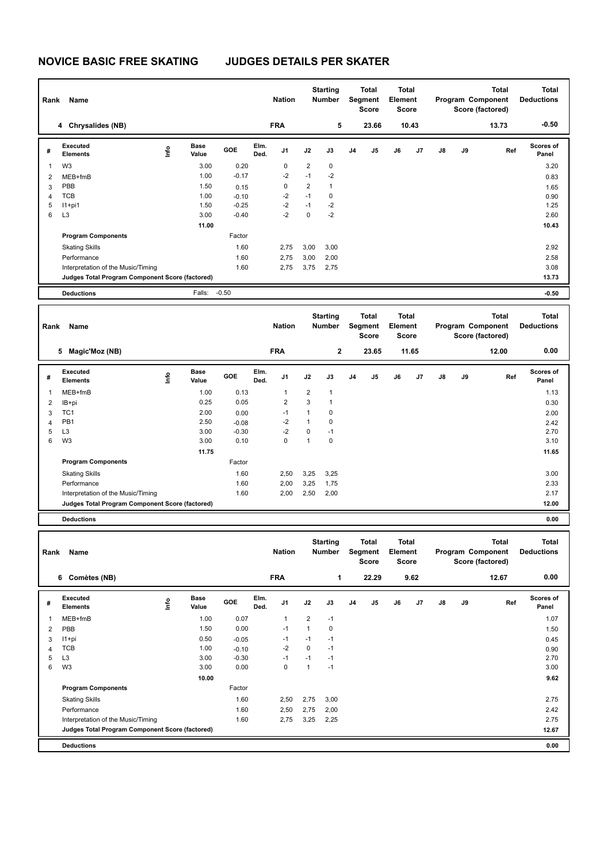## **NOVICE BASIC FREE SKATING JUDGES DETAILS PER SKATER**

| Rank<br>Name            |                                                                                       |      |                      |         |              | <b>Nation</b>           |                | <b>Starting</b><br><b>Number</b> |                | <b>Total</b><br>Segment<br><b>Score</b> |                | <b>Total</b><br>Element<br><b>Score</b> |    |    | <b>Total</b><br>Program Component<br>Score (factored) | <b>Total</b><br><b>Deductions</b> |
|-------------------------|---------------------------------------------------------------------------------------|------|----------------------|---------|--------------|-------------------------|----------------|----------------------------------|----------------|-----------------------------------------|----------------|-----------------------------------------|----|----|-------------------------------------------------------|-----------------------------------|
|                         | 4 Chrysalides (NB)                                                                    |      |                      |         |              | <b>FRA</b>              |                | 5                                |                | 23.66                                   | 10.43          |                                         |    |    | 13.73                                                 | $-0.50$                           |
| #                       | Executed<br><b>Elements</b>                                                           | lnfo | <b>Base</b><br>Value | GOE     | Elm.<br>Ded. | J1                      | J2             | J3                               | J <sub>4</sub> | J5                                      | J6             | J7                                      | J8 | J9 | Ref                                                   | Scores of<br>Panel                |
| $\mathbf{1}$            | W3                                                                                    |      | 3.00                 | 0.20    |              | 0                       | 2              | 0                                |                |                                         |                |                                         |    |    |                                                       | 3.20                              |
| 2                       | MEB+fmB                                                                               |      | 1.00                 | $-0.17$ |              | $-2$                    | $-1$           | $-2$                             |                |                                         |                |                                         |    |    |                                                       | 0.83                              |
| 3                       | PBB                                                                                   |      | 1.50                 | 0.15    |              | $\mathbf 0$             | 2              | 1                                |                |                                         |                |                                         |    |    |                                                       | 1.65                              |
| 4                       | <b>TCB</b>                                                                            |      | 1.00                 | $-0.10$ |              | $-2$                    | $-1$           | 0                                |                |                                         |                |                                         |    |    |                                                       | 0.90                              |
| 5                       | $11+pi1$                                                                              |      | 1.50                 | $-0.25$ |              | $-2$                    | $-1$           | $-2$                             |                |                                         |                |                                         |    |    |                                                       | 1.25                              |
| 6                       | L <sub>3</sub>                                                                        |      | 3.00                 | $-0.40$ |              | $-2$                    | $\pmb{0}$      | $-2$                             |                |                                         |                |                                         |    |    |                                                       | 2.60                              |
|                         |                                                                                       |      | 11.00                |         |              |                         |                |                                  |                |                                         |                |                                         |    |    |                                                       | 10.43                             |
|                         | <b>Program Components</b>                                                             |      |                      | Factor  |              |                         |                |                                  |                |                                         |                |                                         |    |    |                                                       |                                   |
|                         | <b>Skating Skills</b>                                                                 |      |                      | 1.60    |              | 2,75                    | 3,00           | 3,00                             |                |                                         |                |                                         |    |    |                                                       | 2.92                              |
|                         | Performance                                                                           |      |                      | 1.60    |              | 2,75                    | 3,00           | 2,00                             |                |                                         |                |                                         |    |    |                                                       | 2.58                              |
|                         | Interpretation of the Music/Timing                                                    |      |                      | 1.60    |              | 2,75                    | 3,75           | 2,75                             |                |                                         |                |                                         |    |    |                                                       | 3.08                              |
|                         | Judges Total Program Component Score (factored)                                       |      |                      |         |              |                         |                |                                  |                |                                         |                |                                         |    |    |                                                       | 13.73                             |
|                         | <b>Deductions</b>                                                                     |      | Falls:               | $-0.50$ |              |                         |                |                                  |                |                                         |                |                                         |    |    |                                                       | $-0.50$                           |
|                         |                                                                                       |      |                      |         |              |                         |                | <b>Starting</b>                  |                | Total                                   | Total          |                                         |    |    | <b>Total</b>                                          | <b>Total</b>                      |
| Rank                    | Name                                                                                  |      |                      |         |              | <b>Nation</b>           |                | <b>Number</b>                    |                | Segment<br><b>Score</b>                 | <b>Element</b> | <b>Score</b>                            |    |    | Program Component<br>Score (factored)                 | <b>Deductions</b>                 |
|                         | 5 Magic'Moz (NB)                                                                      |      |                      |         |              | <b>FRA</b>              |                | 2                                |                | 23.65                                   |                | 11.65                                   |    |    | 12.00                                                 | 0.00                              |
|                         | Executed                                                                              |      | Base                 | GOE     | Elm.         | J1                      | J2             | J3                               | J <sub>4</sub> | J5                                      | J6             | J7                                      | J8 | J9 | Ref                                                   | Scores of                         |
| #                       | <b>Elements</b>                                                                       | ١nf٥ | Value                |         | Ded.         |                         |                |                                  |                |                                         |                |                                         |    |    |                                                       | Panel                             |
| $\mathbf{1}$            | MEB+fmB                                                                               |      | 1.00                 | 0.13    |              | $\mathbf{1}$            | $\overline{2}$ | 1                                |                |                                         |                |                                         |    |    |                                                       | 1.13                              |
| $\overline{\mathbf{c}}$ | IB+pi                                                                                 |      | 0.25                 | 0.05    |              | $\overline{\mathbf{c}}$ | 3              | 1                                |                |                                         |                |                                         |    |    |                                                       | 0.30                              |
| 3                       | TC <sub>1</sub>                                                                       |      | 2.00                 | 0.00    |              | $-1$                    | 1              | 0                                |                |                                         |                |                                         |    |    |                                                       | 2.00                              |
| 4                       | PB1                                                                                   |      | 2.50                 | $-0.08$ |              | $-2$                    | $\mathbf{1}$   | 0                                |                |                                         |                |                                         |    |    |                                                       | 2.42                              |
| 5                       | L <sub>3</sub>                                                                        |      | 3.00                 | $-0.30$ |              | $-2$                    | 0              | $-1$                             |                |                                         |                |                                         |    |    |                                                       | 2.70                              |
| 6                       | W <sub>3</sub>                                                                        |      | 3.00                 | 0.10    |              | $\mathbf 0$             | $\mathbf{1}$   | 0                                |                |                                         |                |                                         |    |    |                                                       | 3.10                              |
|                         |                                                                                       |      | 11.75                |         |              |                         |                |                                  |                |                                         |                |                                         |    |    |                                                       | 11.65                             |
|                         | <b>Program Components</b>                                                             |      |                      | Factor  |              |                         |                |                                  |                |                                         |                |                                         |    |    |                                                       |                                   |
|                         | <b>Skating Skills</b>                                                                 |      |                      | 1.60    |              | 2,50                    | 3,25           | 3,25                             |                |                                         |                |                                         |    |    |                                                       | 3.00                              |
|                         | Performance                                                                           |      |                      | 1.60    |              | 2,00                    | 3,25           | 1,75                             |                |                                         |                |                                         |    |    |                                                       | 2.33                              |
|                         | Interpretation of the Music/Timing                                                    |      |                      | 1.60    |              | 2,00                    | 2,50           | 2,00                             |                |                                         |                |                                         |    |    |                                                       | 2.17                              |
|                         | Judges Total Program Component Score (factored)                                       |      |                      |         |              |                         |                |                                  |                |                                         |                |                                         |    |    |                                                       | 12.00                             |
|                         | <b>Deductions</b>                                                                     |      |                      |         |              |                         |                |                                  |                |                                         |                |                                         |    |    |                                                       | 0.00                              |
|                         |                                                                                       |      |                      |         |              |                         |                | <b>Starting</b>                  |                | Total                                   |                | Total                                   |    |    | Total                                                 | Total                             |
| Rank                    | Name                                                                                  |      |                      |         |              | <b>Nation</b>           |                | <b>Number</b>                    |                | Segment<br><b>Score</b>                 | Element        | Score                                   |    |    | Program Component<br>Score (factored)                 | <b>Deductions</b>                 |
|                         | 6 Comètes (NB)                                                                        |      |                      |         |              | <b>FRA</b>              |                | 1                                |                | 22.29                                   |                | 9.62                                    |    |    | 12.67                                                 | 0.00                              |
| #                       | Executed<br><b>Elements</b>                                                           | lnfo | Base<br>Value        | GOE     | Elm.<br>Ded. | J1                      | J2             | J3                               | J4             | J5                                      | J6             | J7                                      | J8 | J9 | Ref                                                   | Scores of<br>Panel                |
| $\mathbf{1}$            | MEB+fmB                                                                               |      | 1.00                 | 0.07    |              | $\mathbf{1}$            | $\overline{2}$ | $-1$                             |                |                                         |                |                                         |    |    |                                                       | 1.07                              |
| $\overline{2}$          | PBB                                                                                   |      | 1.50                 | 0.00    |              | $-1$                    | $\mathbf{1}$   | 0                                |                |                                         |                |                                         |    |    |                                                       | 1.50                              |
| 3                       | I1+pi                                                                                 |      | 0.50                 | $-0.05$ |              | $-1$                    | $-1$           | $-1$                             |                |                                         |                |                                         |    |    |                                                       | 0.45                              |
| 4                       | <b>TCB</b>                                                                            |      | 1.00                 | $-0.10$ |              | $-2$                    | $\pmb{0}$      | $-1$                             |                |                                         |                |                                         |    |    |                                                       | 0.90                              |
| 5                       | L <sub>3</sub>                                                                        |      | 3.00                 | $-0.30$ |              | $-1$                    | $-1$           | $-1$                             |                |                                         |                |                                         |    |    |                                                       | 2.70                              |
| 6                       | W <sub>3</sub>                                                                        |      | 3.00                 | 0.00    |              | $\mathbf 0$             | $\mathbf{1}$   | $-1$                             |                |                                         |                |                                         |    |    |                                                       | 3.00                              |
|                         |                                                                                       |      | 10.00                |         |              |                         |                |                                  |                |                                         |                |                                         |    |    |                                                       | 9.62                              |
|                         | <b>Program Components</b>                                                             |      |                      | Factor  |              |                         |                |                                  |                |                                         |                |                                         |    |    |                                                       |                                   |
|                         | <b>Skating Skills</b>                                                                 |      |                      | 1.60    |              | 2,50                    | 2,75           | 3,00                             |                |                                         |                |                                         |    |    |                                                       | 2.75                              |
|                         | Performance                                                                           |      |                      | 1.60    |              | 2,50                    | 2,75           | 2,00                             |                |                                         |                |                                         |    |    |                                                       | 2.42                              |
|                         | Interpretation of the Music/Timing<br>Judges Total Program Component Score (factored) |      |                      | 1.60    |              | 2,75                    | 3,25           | 2,25                             |                |                                         |                |                                         |    |    |                                                       | 2.75<br>12.67                     |
|                         | <b>Deductions</b>                                                                     |      |                      |         |              |                         |                |                                  |                |                                         |                |                                         |    |    |                                                       | 0.00                              |
|                         |                                                                                       |      |                      |         |              |                         |                |                                  |                |                                         |                |                                         |    |    |                                                       |                                   |